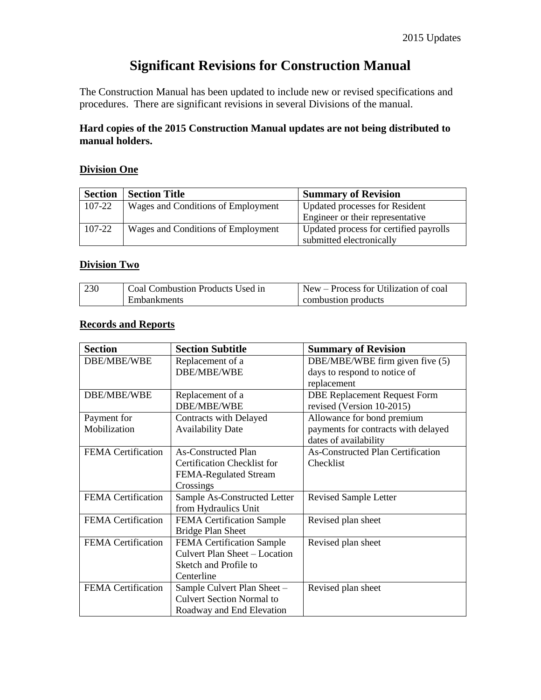# **Significant Revisions for Construction Manual**

The Construction Manual has been updated to include new or revised specifications and procedures. There are significant revisions in several Divisions of the manual.

## **Hard copies of the 2015 Construction Manual updates are not being distributed to manual holders.**

### **Division One**

| <b>Section</b> | <b>Section Title</b>               | <b>Summary of Revision</b>             |
|----------------|------------------------------------|----------------------------------------|
| 107-22         | Wages and Conditions of Employment | <b>Updated processes for Resident</b>  |
|                |                                    | Engineer or their representative       |
| 107-22         | Wages and Conditions of Employment | Updated process for certified payrolls |
|                |                                    | submitted electronically               |

#### **Division Two**

| 230 | Coal Combustion Products Used in | New – Process for Utilization of coal |
|-----|----------------------------------|---------------------------------------|
|     | Embankments                      | combustion products                   |

### **Records and Reports**

| <b>Section</b>            | <b>Section Subtitle</b>          | <b>Summary of Revision</b>               |
|---------------------------|----------------------------------|------------------------------------------|
| DBE/MBE/WBE               | Replacement of a                 | DBE/MBE/WBE firm given five (5)          |
|                           | DBE/MBE/WBE                      | days to respond to notice of             |
|                           |                                  | replacement                              |
| DBE/MBE/WBE               | Replacement of a                 | <b>DBE Replacement Request Form</b>      |
|                           | DBE/MBE/WBE                      | revised (Version 10-2015)                |
| Payment for               | Contracts with Delayed           | Allowance for bond premium               |
| Mobilization              | <b>Availability Date</b>         | payments for contracts with delayed      |
|                           |                                  | dates of availability                    |
| <b>FEMA</b> Certification | <b>As-Constructed Plan</b>       | <b>As-Constructed Plan Certification</b> |
|                           | Certification Checklist for      | Checklist                                |
|                           | FEMA-Regulated Stream            |                                          |
|                           | Crossings                        |                                          |
| <b>FEMA</b> Certification | Sample As-Constructed Letter     | <b>Revised Sample Letter</b>             |
|                           | from Hydraulics Unit             |                                          |
| <b>FEMA</b> Certification | <b>FEMA Certification Sample</b> | Revised plan sheet                       |
|                           | <b>Bridge Plan Sheet</b>         |                                          |
| <b>FEMA</b> Certification | <b>FEMA Certification Sample</b> | Revised plan sheet                       |
|                           | Culvert Plan Sheet - Location    |                                          |
|                           | Sketch and Profile to            |                                          |
|                           | Centerline                       |                                          |
| <b>FEMA</b> Certification | Sample Culvert Plan Sheet -      | Revised plan sheet                       |
|                           | <b>Culvert Section Normal to</b> |                                          |
|                           | Roadway and End Elevation        |                                          |